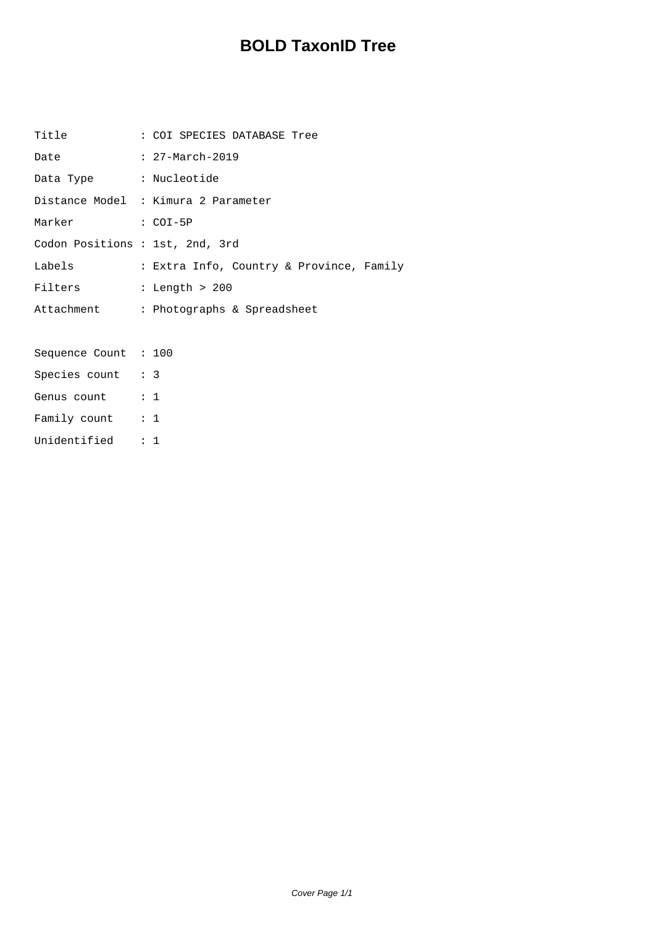## **BOLD TaxonID Tree**

| Title                           | : COI SPECIES DATABASE Tree              |
|---------------------------------|------------------------------------------|
| Date                            | : $27 - March - 2019$                    |
| Data Type : Nucleotide          |                                          |
|                                 | Distance Model : Kimura 2 Parameter      |
| Marker : COI-5P                 |                                          |
| Codon Positions : 1st, 2nd, 3rd |                                          |
| Labels                          | : Extra Info, Country & Province, Family |
| Filters                         | $:$ Length > 200                         |
|                                 | Attachment : Photographs & Spreadsheet   |
|                                 |                                          |
| Sequence Count : 100            |                                          |
| Species count : 3               |                                          |
| Genus count : 1                 |                                          |
| Family count : 1                |                                          |
| Unidentified : 1                |                                          |